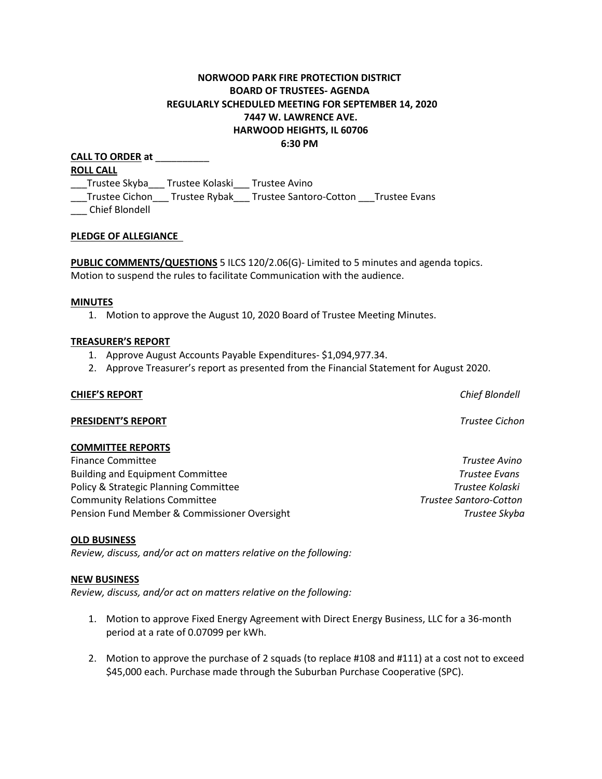# **NORWOOD PARK FIRE PROTECTION DISTRICT BOARD OF TRUSTEES- AGENDA REGULARLY SCHEDULED MEETING FOR SEPTEMBER 14, 2020 7447 W. LAWRENCE AVE. HARWOOD HEIGHTS, IL 60706 6:30 PM**

**CALL TO ORDER at** \_\_\_\_\_\_\_\_\_\_ **ROLL CALL** \_\_\_Trustee Skyba\_\_\_ Trustee Kolaski\_\_\_ Trustee Avino \_\_\_Trustee Cichon\_\_\_ Trustee Rybak\_\_\_ Trustee Santoro-Cotton \_\_\_Trustee Evans \_\_\_ Chief Blondell

#### **PLEDGE OF ALLEGIANCE**

**PUBLIC COMMENTS/QUESTIONS** 5 ILCS 120/2.06(G)- Limited to 5 minutes and agenda topics. Motion to suspend the rules to facilitate Communication with the audience.

#### **MINUTES**

1. Motion to approve the August 10, 2020 Board of Trustee Meeting Minutes.

#### **TREASURER'S REPORT**

- 1. Approve August Accounts Payable Expenditures- \$1,094,977.34.
- 2. Approve Treasurer's report as presented from the Financial Statement for August 2020.

#### **CHIEF'S REPORT** *Chief Blondell*

## **PRESIDENT'S REPORT** *Trustee Cichon*

#### **COMMITTEE REPORTS**

Finance Committee *Trustee Avino* Building and Equipment Committee *Trustee Evans* Policy & Strategic Planning Committee *Trustee Kolaski* Community Relations Committee *Trustee Santoro-Cotton*  Pension Fund Member & Commissioner Oversight *Trustee Skyba*

#### **OLD BUSINESS**

*Review, discuss, and/or act on matters relative on the following:*

#### **NEW BUSINESS**

*Review, discuss, and/or act on matters relative on the following:*

- 1. Motion to approve Fixed Energy Agreement with Direct Energy Business, LLC for a 36-month period at a rate of 0.07099 per kWh.
- 2. Motion to approve the purchase of 2 squads (to replace #108 and #111) at a cost not to exceed \$45,000 each. Purchase made through the Suburban Purchase Cooperative (SPC).